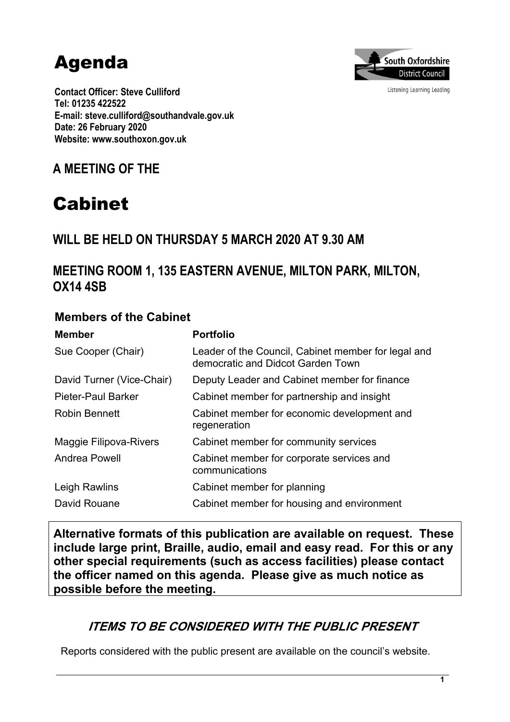# Agenda



Listening Learning Leading

**Contact Officer: Steve Culliford Tel: 01235 422522 E-mail: steve.culliford@southandvale.gov.uk Date: 26 February 2020 Website: www.southoxon.gov.uk**

**A MEETING OF THE**

## Cabinet

## **WILL BE HELD ON THURSDAY 5 MARCH 2020 AT 9.30 AM**

## **MEETING ROOM 1, 135 EASTERN AVENUE, MILTON PARK, MILTON, OX14 4SB**

#### **Members of the Cabinet**

| <b>Member</b>                 | <b>Portfolio</b>                                                                         |
|-------------------------------|------------------------------------------------------------------------------------------|
| Sue Cooper (Chair)            | Leader of the Council, Cabinet member for legal and<br>democratic and Didcot Garden Town |
| David Turner (Vice-Chair)     | Deputy Leader and Cabinet member for finance                                             |
| <b>Pieter-Paul Barker</b>     | Cabinet member for partnership and insight                                               |
| <b>Robin Bennett</b>          | Cabinet member for economic development and<br>regeneration                              |
| <b>Maggie Filipova-Rivers</b> | Cabinet member for community services                                                    |
| <b>Andrea Powell</b>          | Cabinet member for corporate services and<br>communications                              |
| Leigh Rawlins                 | Cabinet member for planning                                                              |
| David Rouane                  | Cabinet member for housing and environment                                               |

**Alternative formats of this publication are available on request. These include large print, Braille, audio, email and easy read. For this or any other special requirements (such as access facilities) please contact the officer named on this agenda. Please give as much notice as possible before the meeting.**

## *ITEMS TO BE CONSIDERED WITH THE PUBLIC PRESENT*

Reports considered with the public present are available on the council's website.